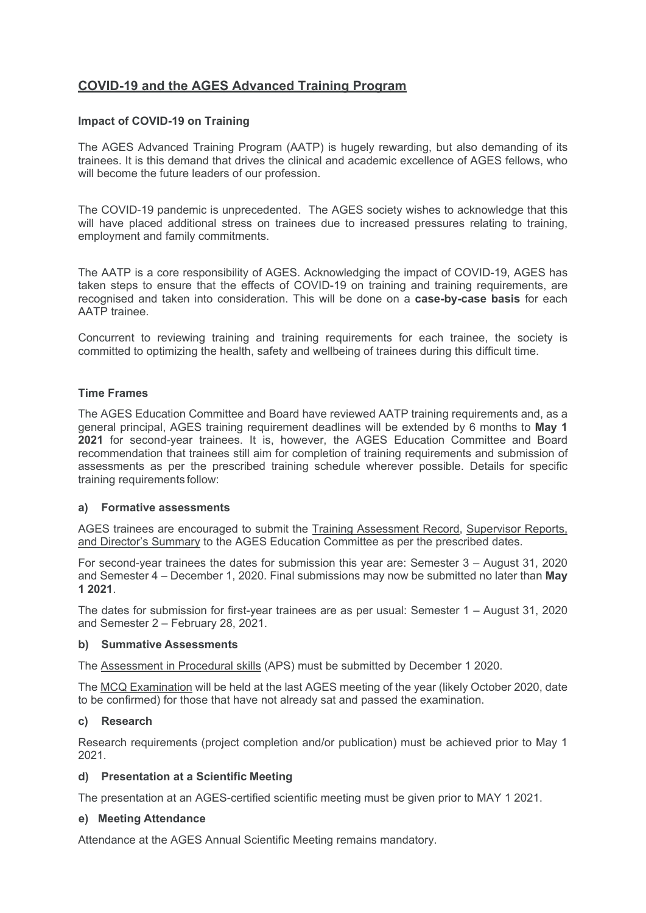# **COVID-19 and the AGES Advanced Training Program**

## **Impact of COVID-19 on Training**

The AGES Advanced Training Program (AATP) is hugely rewarding, but also demanding of its trainees. It is this demand that drives the clinical and academic excellence of AGES fellows, who will become the future leaders of our profession.

The COVID-19 pandemic is unprecedented. The AGES society wishes to acknowledge that this will have placed additional stress on trainees due to increased pressures relating to training. employment and family commitments.

The AATP is a core responsibility of AGES. Acknowledging the impact of COVID-19, AGES has taken steps to ensure that the effects of COVID-19 on training and training requirements, are recognised and taken into consideration. This will be done on a **case-by-case basis** for each AATP trainee.

Concurrent to reviewing training and training requirements for each trainee, the society is committed to optimizing the health, safety and wellbeing of trainees during this difficult time.

## **Time Frames**

The AGES Education Committee and Board have reviewed AATP training requirements and, as a general principal, AGES training requirement deadlines will be extended by 6 months to **May 1 2021** for second-year trainees. It is, however, the AGES Education Committee and Board recommendation that trainees still aim for completion of training requirements and submission of assessments as per the prescribed training schedule wherever possible. Details for specific training requirements follow:

### **a) Formative assessments**

AGES trainees are encouraged to submit the Training Assessment Record, Supervisor Reports, and Director's Summary to the AGES Education Committee as per the prescribed dates.

For second-year trainees the dates for submission this year are: Semester 3 – August 31, 2020 and Semester 4 – December 1, 2020. Final submissions may now be submitted no later than **May 1 2021**.

The dates for submission for first-year trainees are as per usual: Semester 1 – August 31, 2020 and Semester 2 – February 28, 2021.

### **b) Summative Assessments**

The Assessment in Procedural skills (APS) must be submitted by December 1 2020.

The MCQ Examination will be held at the last AGES meeting of the year (likely October 2020, date to be confirmed) for those that have not already sat and passed the examination.

### **c) Research**

Research requirements (project completion and/or publication) must be achieved prior to May 1 2021.

### **d) Presentation at a Scientific Meeting**

The presentation at an AGES-certified scientific meeting must be given prior to MAY 1 2021.

### **e) Meeting Attendance**

Attendance at the AGES Annual Scientific Meeting remains mandatory.